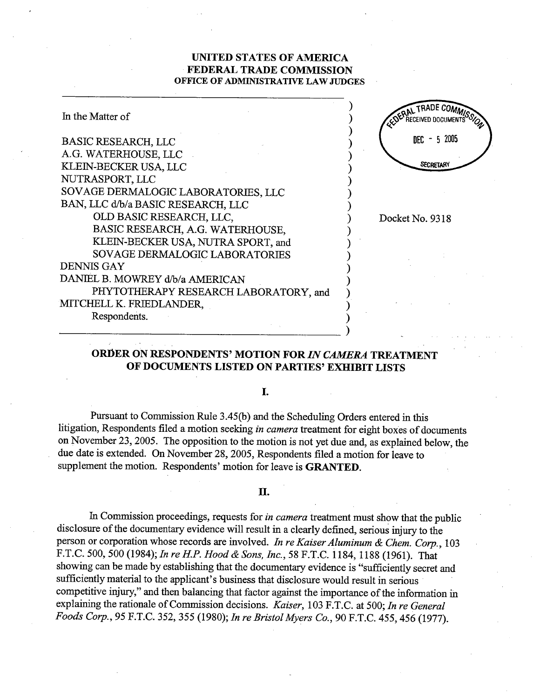### UNITED STATES OF AMRICA FEDERAL TRADE COMMISSION OFFICE OF ADMINISTRATIVE LAW JUDGES

| In the Matter of                      | EDERAL TRADE COM |
|---------------------------------------|------------------|
| <b>BASIC RESEARCH, LLC</b>            | 5 2005<br>nfr:   |
| A.G. WATERHOUSE, LLC                  |                  |
| KLEIN-BECKER USA, LLC                 | <b>SECRETARY</b> |
| NUTRASPORT, LLC                       |                  |
| SOVAGE DERMALOGIC LABORATORIES, LLC   |                  |
| BAN, LLC d/b/a BASIC RESEARCH, LLC    |                  |
| OLD BASIC RESEARCH, LLC,              | Docket No. 9318  |
| BASIC RESEARCH, A.G. WATERHOUSE,      |                  |
| KLEIN-BECKER USA, NUTRA SPORT, and    |                  |
| SOVAGE DERMALOGIC LABORATORIES        |                  |
| <b>DENNIS GAY</b>                     |                  |
| DANIEL B. MOWREY d/b/a AMERICAN       |                  |
| PHYTOTHERAPY RESEARCH LABORATORY, and |                  |
| MITCHELL K. FRIEDLANDER,              |                  |
| Respondents.                          |                  |
|                                       |                  |

## ORDER ON RESPONDENTS' MOTION FOR IN CAMERA TREATMENT OF DOCUMENTS LISTED ON PARTIES' EXHIBIT LISTS

I.

Pursuant to Commission Rule 3.45(b) and the Scheduling Orders entered in this litigation, Respondents filed a motion seeking in camera treatment for eight boxes of documents on November 23, 2005. The opposition to the motion is not yet due and, as explained below, the due date is extended. On November 28, 2005, Respondents filed a motion for leave to supplement the motion. Respondents' motion for leave is **GRANTED**.

#### II.

In Commission proceedings, requests for *in camera* treatment must show that the public disclosure of the documentary evidence will result in a clearly defined, serious injury to the person or corporation whose records are involved. In re Kaiser Aluminum & Chem. Corp., 103 F.T.C. 500, 500 (1984); In re H.P. Hood & Sons, Inc., 58 F.T.C. 1184, 1188 (1961). That showing can be made by establishing that the documentary evidence is "sufficiently secret and sufficiently material to the applicant's business that disclosure would result in serious competitive injury," and then balancing that factor against the importance of the information in explaining the rationale of Commission decisions. Kaiser, 103 F.T.C. at 500; In re General Foods Corp., 95 F.T.C. 352, 355 (1980); In re Bristol Myers Co., 90 F.T.C. 455, 456 (1977).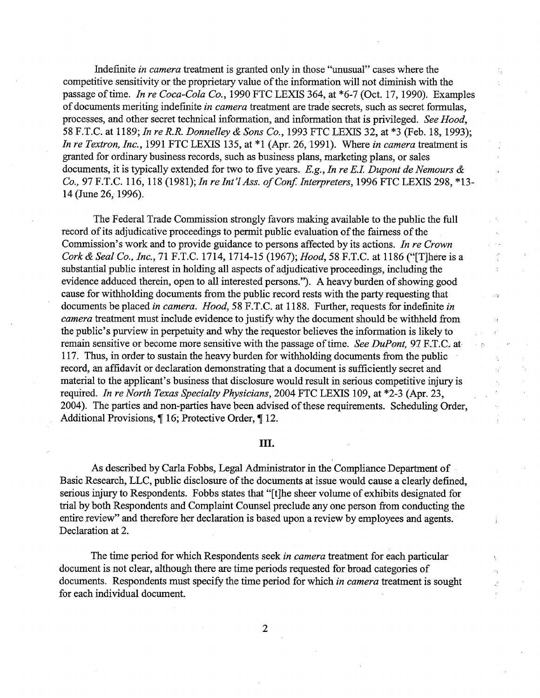Indefinite in camera treatment is granted only in those "unusual" cases where the competitive sensitivity or the proprietary value of the information will not diminish with the passage of time. In re Coca-Cola Co., 1990 FTC LEXIS 364, at \*6-7 (Oct. 17, 1990). Examples of documents meriting indefinite in camera treatment are trade secrets, such as secret formulas, processes, and other secret technical information, and information that is privileged. See Hood, 58 F.T.C. at 1189; In re R.R. Donnelley & Sons Co., 1993 FTC LEXIS 32, at \*3 (Feb. 18, 1993); In re Textron, Inc., 1991 FTC LEXIS 135, at  $*1$  (Apr. 26, 1991). Where in camera treatment is granted for ordinary business records, such as business plans, marketig plans, or sales documents, it is typically extended for two to five years. E.g., In re E.I. Dupont de Nemours  $\&$ Co., 97 F.T.C. 116, 118 (1981); In re Int'l Ass. of Conf. Interpreters, 1996 FTC LEXIS 298, \*13-14 (June 26, 1996).

The Federal Trade Commission strongly favors making available to the public the full record of its adjudicative proceedings to permt public evaluation of the fairness of the Commission's work and to provide guidance to persons affected by its actions. In re Crown Cork & Seal Co., Inc., 71 F.T.C. 1714, 1714-15 (1967); Hood, 58 F.T.C. at 1186 ("[T]here is a substantial public interest in holding all aspects of adjudicative proceedings, including the evidence adduced therein, open to all interested persons. "). A heavy burden of showing good cause for withholding documents from the public record rests with the party requesting that documents be placed in camera. Hood, 58 F.T.C. at 1188. Further, requests for indefinite in camera treatment must include evidence to justify why the document should be witheld from the public's purview in perpetuity and why the requestor believes the information is likely to remain sensitive or become more sensitive with the passage of time. See DuPont, 97 F.T.C. at 117. Thus, in order to sustain the heavy burden for withholding documents from the public record, an affidavit or declaration demonstrating that a document is sufficiently secret and material to the applicant's business that disclosure would result in serious competitive injury is required. In re North Texas Specialty Physicians, 2004 FTC LEXIS 109, at \*2-3 (Apr. 23, 2004). The parties and non-parties have been advised of these requirements. Scheduling Order, Additional Provisions, ¶ 16; Protective Order, ¶ 12.

 $\mathcal{L}_{\rm B}$ 

Í

 $\mathbb{R}^3$ 

#### III.

As described by Carla Fobbs, Legal Administrator in the Compliance Department of Basic Research, LLC, public disclosure of the documents at issue would cause a clearly defined serious injury to Respondents. Fobbs states that "[t]he sheer volume of exhibits designated for tral by both Respondents and Complaint Counsel preclude anyone person from conducting the entire review" and therefore her declaration is based upon a review by employees and agents. Declaration at 2.

The time period for which Respondents seek in camera treatment for each particular document is not clear, although there are time periods requested for broad categories of documents. Respondents must specify the time period for which *in camera* treatment is sought for each individual document.

 $\overline{2}$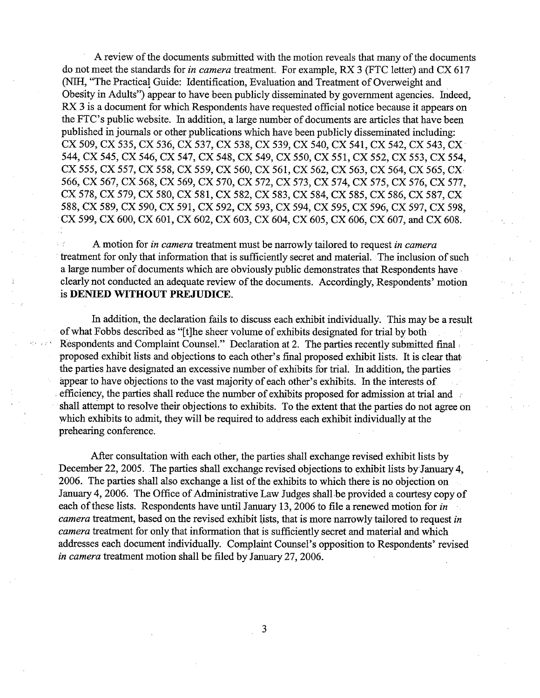A review of the documents submitted with the motion reveals that many of the documents do not meet the standards for *in camera* treatment. For example, RX 3 (FTC letter) and CX 617 (NIH, "The Practical Guide: Identification, Evaluation and Treatment of Overweight and Obesity in Adults") appear to have been publicly disseminated by government agencies. Indeed, RX 3 is a document for which Respondents have requested official notice because it appears on the FTC's public website. In addition, a large number of documents are articles that have been published injoumals or other publications which have been publicly disseminated including: CX 509, CX 535, CX 536, CX 537, CX 538, ex 539, CX 540, CX 541 , CX 542, CX 543, CX' 544, CX 545, CX 546, CX 547, CX 548, CX 549, CX 550, CX 551, CX 552, CX 553, CX 554, CX 555, CX 557, CX 558, CX 559, CX 560, CX 561, CX 562, CX 563, CX 564, CX 565, CX 566, CX 567, CX 568, CX 569, CX 570, CX 572, CX 573, CX 574, CX 575, CX 576, CX 577, CX 578, CX 579, CX 580, CX 581, CX 582, CX 583, CX 584, CX 585, CX 586, CX 587, CX 588, CX 589, CX 590, CX 591, CX 592, CX 593, CX 594, CX 595, CX 596, CX 597, CX 598, CX 599, CX 600, CX 601, CX 602, CX 603, CX 604, CX 605, CX 606, CX 607, and CX 608.

A motion for *in camera* treatment must be narrowly tailored to request *in camera* treatment for only that information that is sufficiently secret and material. The inclusion of such a large number of documents which are obviously public demonstrates that Respondents have, clearly not conducted an adequate review of the documents. Accordingly, Respondents' motion is DENIED WITHOUT PREJUDICE.

In addition, the declaration fails to discuss each exhbit individually. This may be a result of what Pobbs described as "(t)he sheer volume of exhibits designated for tral by both Respondents and Complaint Counsel." Declaration at 2. The parties recently submitted final proposed exhibit lists and objections to each other's final proposed exhibit lists. It is clear that the paries have designated an excessive number of exhibits for tral. In addition, the paries appear to have objections to the vast majority of each other's exhibits. In the interests of efficiency, the parties shall reduce the number of exhibits proposed for admission at trial and shall attempt to resolve their objections to exhibits. To the extent that the paries do not agree on which exhibits to admit, they will be required to address each exhibit individually at the prehearing conference.

After consultation with each other, the parties shall exchange revised exhibit lists by December 22, 2005. The parties shall exchange revised objections to exhibit lists by January 4, 2006. The paries shall also exchange a list of the exhibits to which there is no objection on January 4, 2006. The Office of Administrative Law Judges shall be provided a courtesy copy of each of these lists. Respondents have until January 13, 2006 to file a renewed motion for in camera treatment, based on the revised exhibit lists, that is more narrowly tailored to request in camera treatment for only that information that is sufficiently secret and material and which addresses each document individually. Complaint Counsel's opposition to Respondents' revised in camera treatment motion shall be filed by January 27, 2006.

3